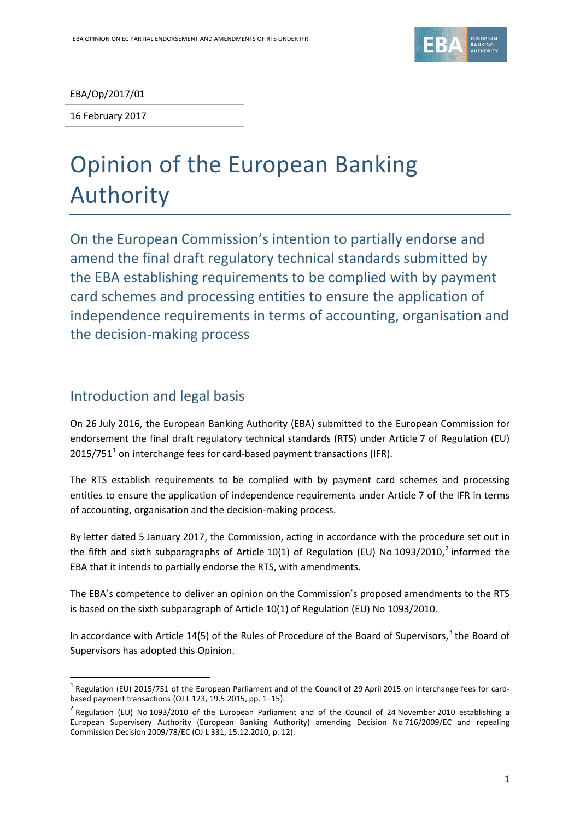

EBA/Op/2017/01

16 February 2017

# Opinion of the European Banking Authority

On the European Commission's intention to partially endorse and amend the final draft regulatory technical standards submitted by the EBA establishing requirements to be complied with by payment card schemes and processing entities to ensure the application of independence requirements in terms of accounting, organisation and the decision-making process

# Introduction and legal basis

1

On 26 July 2016, the European Banking Authority (EBA) submitted to the European Commission for endorsement the final draft regulatory technical standards (RTS) under Article 7 of Regulation (EU)  $2015/751<sup>1</sup>$  $2015/751<sup>1</sup>$  $2015/751<sup>1</sup>$  on interchange fees for card-based payment transactions (IFR).

The RTS establish requirements to be complied with by payment card schemes and processing entities to ensure the application of independence requirements under Article 7 of the IFR in terms of accounting, organisation and the decision-making process.

By letter dated 5 January 2017, the Commission, acting in accordance with the procedure set out in the fifth and sixth subparagraphs of Article 10(1) of Regulation (EU) No 1093/[2](#page-0-1)010,<sup>2</sup> informed the EBA that it intends to partially endorse the RTS, with amendments.

The EBA's competence to deliver an opinion on the Commission's proposed amendments to the RTS is based on the sixth subparagraph of Article 10(1) of Regulation (EU) No 1093/2010.

In accordance with Article 14(5) of the Rules of Procedure of the Board of Supervisors,<sup>[3](#page-0-2)</sup> the Board of Supervisors has adopted this Opinion.

<span id="page-0-0"></span> $1$  Regulation (EU) 2015/751 of the European Parliament and of the Council of 29 April 2015 on interchange fees for cardbased payment transactions (OJ L 123, 19.5.2015, pp. 1–15).

<span id="page-0-2"></span><span id="page-0-1"></span><sup>&</sup>lt;sup>2</sup> Regulation (EU) No 1093/2010 of the European Parliament and of the Council of 24 November 2010 establishing a European Supervisory Authority (European Banking Authority) amending Decision No 716/2009/EC and repealing Commission Decision 2009/78/EC (OJ L 331, 15.12.2010, p. 12).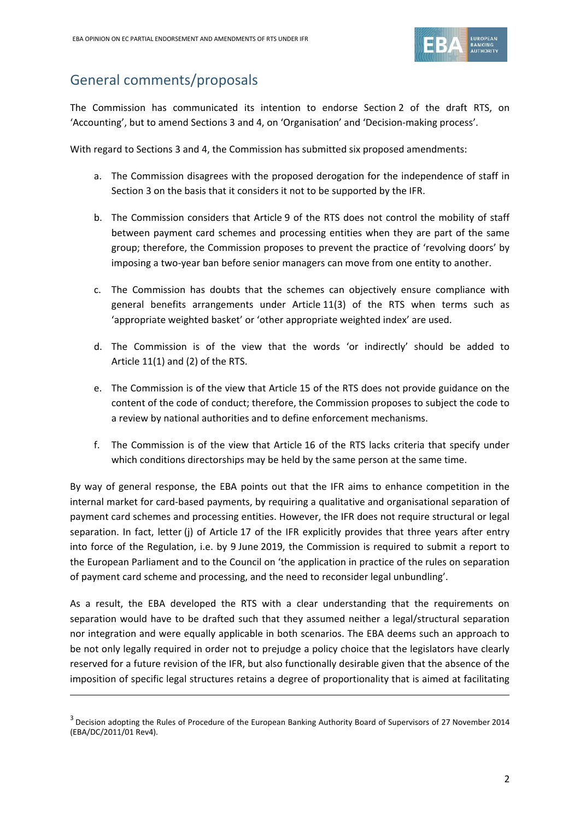

# General comments/proposals

**.** 

The Commission has communicated its intention to endorse Section 2 of the draft RTS, on 'Accounting', but to amend Sections 3 and 4, on 'Organisation' and 'Decision-making process'.

With regard to Sections 3 and 4, the Commission has submitted six proposed amendments:

- a. The Commission disagrees with the proposed derogation for the independence of staff in Section 3 on the basis that it considers it not to be supported by the IFR.
- b. The Commission considers that Article 9 of the RTS does not control the mobility of staff between payment card schemes and processing entities when they are part of the same group; therefore, the Commission proposes to prevent the practice of 'revolving doors' by imposing a two-year ban before senior managers can move from one entity to another.
- c. The Commission has doubts that the schemes can objectively ensure compliance with general benefits arrangements under Article 11(3) of the RTS when terms such as 'appropriate weighted basket' or 'other appropriate weighted index' are used.
- d. The Commission is of the view that the words 'or indirectly' should be added to Article 11(1) and (2) of the RTS.
- e. The Commission is of the view that Article 15 of the RTS does not provide guidance on the content of the code of conduct; therefore, the Commission proposes to subject the code to a review by national authorities and to define enforcement mechanisms.
- f. The Commission is of the view that Article 16 of the RTS lacks criteria that specify under which conditions directorships may be held by the same person at the same time.

By way of general response, the EBA points out that the IFR aims to enhance competition in the internal market for card-based payments, by requiring a qualitative and organisational separation of payment card schemes and processing entities. However, the IFR does not require structural or legal separation. In fact, letter (j) of Article 17 of the IFR explicitly provides that three years after entry into force of the Regulation, i.e. by 9 June 2019, the Commission is required to submit a report to the European Parliament and to the Council on 'the application in practice of the rules on separation of payment card scheme and processing, and the need to reconsider legal unbundling'.

As a result, the EBA developed the RTS with a clear understanding that the requirements on separation would have to be drafted such that they assumed neither a legal/structural separation nor integration and were equally applicable in both scenarios. The EBA deems such an approach to be not only legally required in order not to prejudge a policy choice that the legislators have clearly reserved for a future revision of the IFR, but also functionally desirable given that the absence of the imposition of specific legal structures retains a degree of proportionality that is aimed at facilitating

<sup>&</sup>lt;sup>3</sup> Decision adopting the Rules of Procedure of the European Banking Authority Board of Supervisors of 27 November 2014 (EBA/DC/2011/01 Rev4).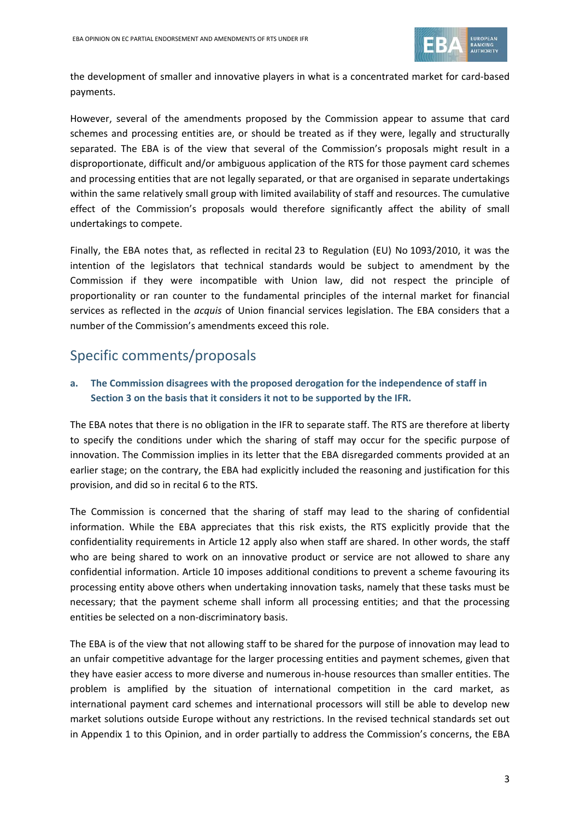

the development of smaller and innovative players in what is a concentrated market for card-based payments.

However, several of the amendments proposed by the Commission appear to assume that card schemes and processing entities are, or should be treated as if they were, legally and structurally separated. The EBA is of the view that several of the Commission's proposals might result in a disproportionate, difficult and/or ambiguous application of the RTS for those payment card schemes and processing entities that are not legally separated, or that are organised in separate undertakings within the same relatively small group with limited availability of staff and resources. The cumulative effect of the Commission's proposals would therefore significantly affect the ability of small undertakings to compete.

Finally, the EBA notes that, as reflected in recital 23 to Regulation (EU) No 1093/2010, it was the intention of the legislators that technical standards would be subject to amendment by the Commission if they were incompatible with Union law, did not respect the principle of proportionality or ran counter to the fundamental principles of the internal market for financial services as reflected in the *acquis* of Union financial services legislation. The EBA considers that a number of the Commission's amendments exceed this role.

# Specific comments/proposals

#### **a. The Commission disagrees with the proposed derogation for the independence of staff in Section 3 on the basis that it considers it not to be supported by the IFR.**

The EBA notes that there is no obligation in the IFR to separate staff. The RTS are therefore at liberty to specify the conditions under which the sharing of staff may occur for the specific purpose of innovation. The Commission implies in its letter that the EBA disregarded comments provided at an earlier stage; on the contrary, the EBA had explicitly included the reasoning and justification for this provision, and did so in recital 6 to the RTS.

The Commission is concerned that the sharing of staff may lead to the sharing of confidential information. While the EBA appreciates that this risk exists, the RTS explicitly provide that the confidentiality requirements in Article 12 apply also when staff are shared. In other words, the staff who are being shared to work on an innovative product or service are not allowed to share any confidential information. Article 10 imposes additional conditions to prevent a scheme favouring its processing entity above others when undertaking innovation tasks, namely that these tasks must be necessary; that the payment scheme shall inform all processing entities; and that the processing entities be selected on a non-discriminatory basis.

The EBA is of the view that not allowing staff to be shared for the purpose of innovation may lead to an unfair competitive advantage for the larger processing entities and payment schemes, given that they have easier access to more diverse and numerous in-house resources than smaller entities. The problem is amplified by the situation of international competition in the card market, as international payment card schemes and international processors will still be able to develop new market solutions outside Europe without any restrictions. In the revised technical standards set out in Appendix 1 to this Opinion, and in order partially to address the Commission's concerns, the EBA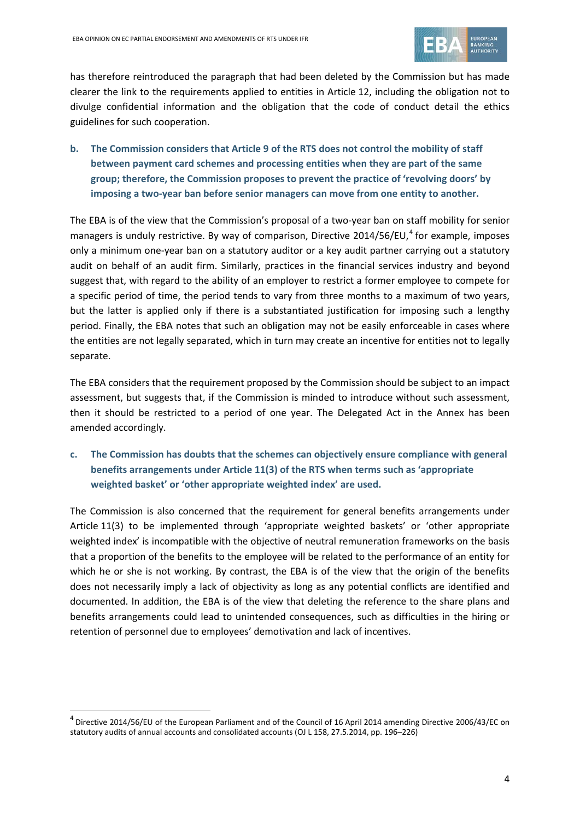

has therefore reintroduced the paragraph that had been deleted by the Commission but has made clearer the link to the requirements applied to entities in Article 12, including the obligation not to divulge confidential information and the obligation that the code of conduct detail the ethics guidelines for such cooperation.

**b. The Commission considers that Article 9 of the RTS does not control the mobility of staff between payment card schemes and processing entities when they are part of the same group; therefore, the Commission proposes to prevent the practice of 'revolving doors' by imposing a two-year ban before senior managers can move from one entity to another.**

The EBA is of the view that the Commission's proposal of a two-year ban on staff mobility for senior managers is unduly restrictive. By way of comparison, Directive 201[4](#page-3-0)/56/EU,<sup>4</sup> for example, imposes only a minimum one-year ban on a statutory auditor or a key audit partner carrying out a statutory audit on behalf of an audit firm. Similarly, practices in the financial services industry and beyond suggest that, with regard to the ability of an employer to restrict a former employee to compete for a specific period of time, the period tends to vary from three months to a maximum of two years, but the latter is applied only if there is a substantiated justification for imposing such a lengthy period. Finally, the EBA notes that such an obligation may not be easily enforceable in cases where the entities are not legally separated, which in turn may create an incentive for entities not to legally separate.

The EBA considers that the requirement proposed by the Commission should be subject to an impact assessment, but suggests that, if the Commission is minded to introduce without such assessment, then it should be restricted to a period of one year. The Delegated Act in the Annex has been amended accordingly.

**c. The Commission has doubts that the schemes can objectively ensure compliance with general benefits arrangements under Article 11(3) of the RTS when terms such as 'appropriate weighted basket' or 'other appropriate weighted index' are used.**

The Commission is also concerned that the requirement for general benefits arrangements under Article 11(3) to be implemented through 'appropriate weighted baskets' or 'other appropriate weighted index' is incompatible with the objective of neutral remuneration frameworks on the basis that a proportion of the benefits to the employee will be related to the performance of an entity for which he or she is not working. By contrast, the EBA is of the view that the origin of the benefits does not necessarily imply a lack of objectivity as long as any potential conflicts are identified and documented. In addition, the EBA is of the view that deleting the reference to the share plans and benefits arrangements could lead to unintended consequences, such as difficulties in the hiring or retention of personnel due to employees' demotivation and lack of incentives.

1

<span id="page-3-0"></span> $^4$  Directive 2014/56/EU of the European Parliament and of the Council of 16 April 2014 amending Directive 2006/43/EC on statutory audits of annual accounts and consolidated accounts (OJ L 158, 27.5.2014, pp. 196–226)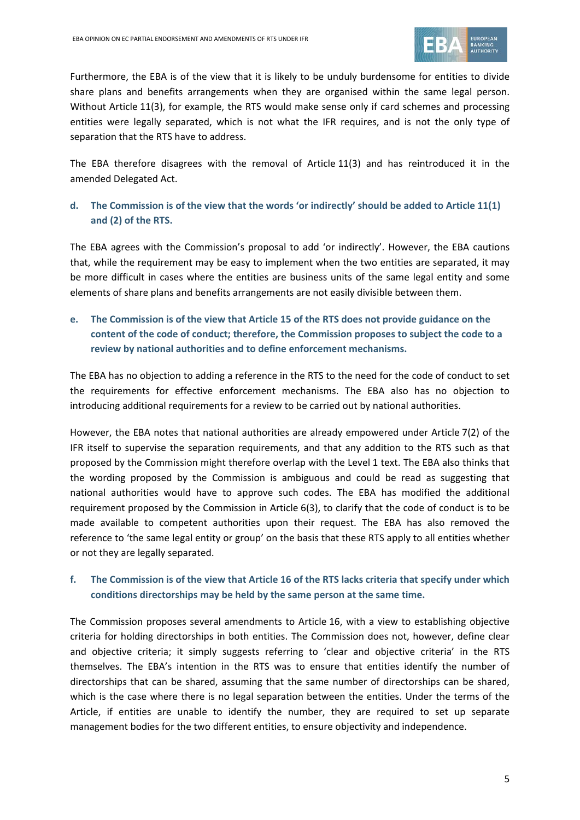

Furthermore, the EBA is of the view that it is likely to be unduly burdensome for entities to divide share plans and benefits arrangements when they are organised within the same legal person. Without Article 11(3), for example, the RTS would make sense only if card schemes and processing entities were legally separated, which is not what the IFR requires, and is not the only type of separation that the RTS have to address.

The EBA therefore disagrees with the removal of Article 11(3) and has reintroduced it in the amended Delegated Act.

## **d. The Commission is of the view that the words 'or indirectly' should be added to Article 11(1) and (2) of the RTS.**

The EBA agrees with the Commission's proposal to add 'or indirectly'. However, the EBA cautions that, while the requirement may be easy to implement when the two entities are separated, it may be more difficult in cases where the entities are business units of the same legal entity and some elements of share plans and benefits arrangements are not easily divisible between them.

## **e. The Commission is of the view that Article 15 of the RTS does not provide guidance on the content of the code of conduct; therefore, the Commission proposes to subject the code to a review by national authorities and to define enforcement mechanisms.**

The EBA has no objection to adding a reference in the RTS to the need for the code of conduct to set the requirements for effective enforcement mechanisms. The EBA also has no objection to introducing additional requirements for a review to be carried out by national authorities.

However, the EBA notes that national authorities are already empowered under Article 7(2) of the IFR itself to supervise the separation requirements, and that any addition to the RTS such as that proposed by the Commission might therefore overlap with the Level 1 text. The EBA also thinks that the wording proposed by the Commission is ambiguous and could be read as suggesting that national authorities would have to approve such codes. The EBA has modified the additional requirement proposed by the Commission in Article 6(3), to clarify that the code of conduct is to be made available to competent authorities upon their request. The EBA has also removed the reference to 'the same legal entity or group' on the basis that these RTS apply to all entities whether or not they are legally separated.

### **f. The Commission is of the view that Article 16 of the RTS lacks criteria that specify under which conditions directorships may be held by the same person at the same time.**

The Commission proposes several amendments to Article 16, with a view to establishing objective criteria for holding directorships in both entities. The Commission does not, however, define clear and objective criteria; it simply suggests referring to 'clear and objective criteria' in the RTS themselves. The EBA's intention in the RTS was to ensure that entities identify the number of directorships that can be shared, assuming that the same number of directorships can be shared, which is the case where there is no legal separation between the entities. Under the terms of the Article, if entities are unable to identify the number, they are required to set up separate management bodies for the two different entities, to ensure objectivity and independence.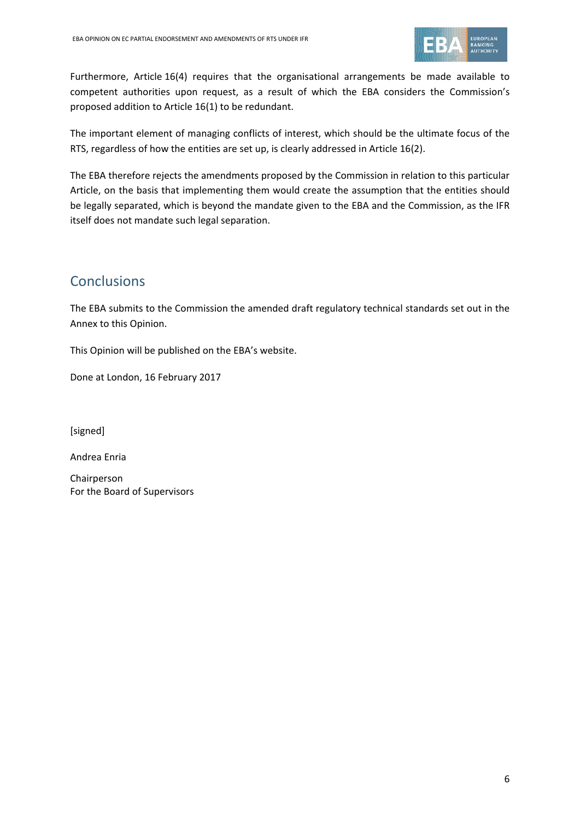

Furthermore, Article 16(4) requires that the organisational arrangements be made available to competent authorities upon request, as a result of which the EBA considers the Commission's proposed addition to Article 16(1) to be redundant.

The important element of managing conflicts of interest, which should be the ultimate focus of the RTS, regardless of how the entities are set up, is clearly addressed in Article 16(2).

The EBA therefore rejects the amendments proposed by the Commission in relation to this particular Article, on the basis that implementing them would create the assumption that the entities should be legally separated, which is beyond the mandate given to the EBA and the Commission, as the IFR itself does not mandate such legal separation.

# **Conclusions**

The EBA submits to the Commission the amended draft regulatory technical standards set out in the Annex to this Opinion.

This Opinion will be published on the EBA's website.

Done at London, 16 February 2017

[signed]

Andrea Enria

Chairperson For the Board of Supervisors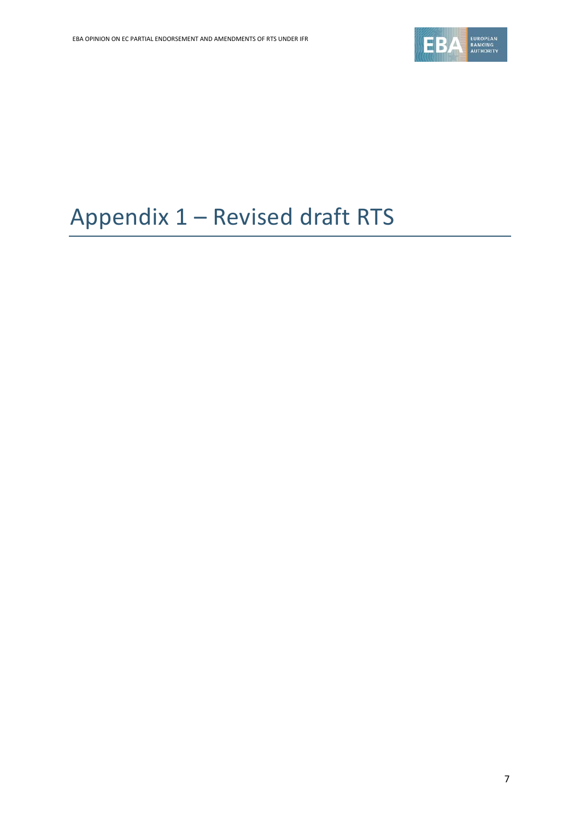

# Appendix 1 – Revised draft RTS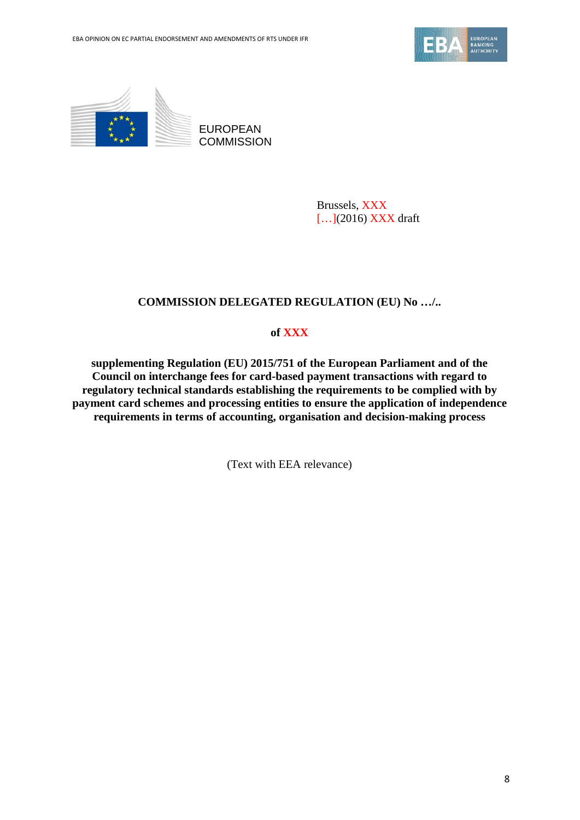



EUROPEAN **COMMISSION** 

> Brussels, XXX […](2016) XXX draft

## **COMMISSION DELEGATED REGULATION (EU) No …/..**

## **of XXX**

**supplementing Regulation (EU) 2015/751 of the European Parliament and of the Council on interchange fees for card-based payment transactions with regard to regulatory technical standards establishing the requirements to be complied with by payment card schemes and processing entities to ensure the application of independence requirements in terms of accounting, organisation and decision-making process**

(Text with EEA relevance)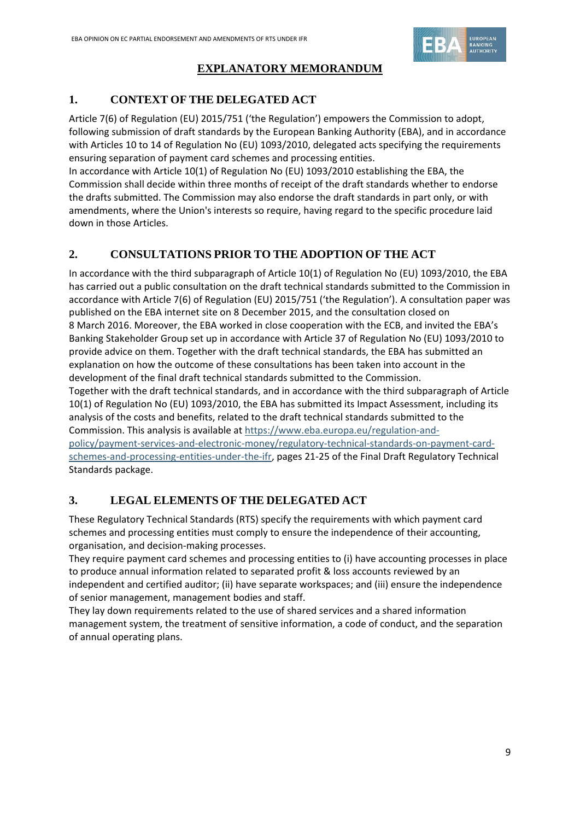

## **EXPLANATORY MEMORANDUM**

# **1. CONTEXT OF THE DELEGATED ACT**

Article 7(6) of Regulation (EU) 2015/751 ('the Regulation') empowers the Commission to adopt, following submission of draft standards by the European Banking Authority (EBA), and in accordance with Articles 10 to 14 of Regulation No (EU) 1093/2010, delegated acts specifying the requirements ensuring separation of payment card schemes and processing entities.

In accordance with Article 10(1) of Regulation No (EU) 1093/2010 establishing the EBA, the Commission shall decide within three months of receipt of the draft standards whether to endorse the drafts submitted. The Commission may also endorse the draft standards in part only, or with amendments, where the Union's interests so require, having regard to the specific procedure laid down in those Articles.

## **2. CONSULTATIONS PRIOR TO THE ADOPTION OF THE ACT**

In accordance with the third subparagraph of Article 10(1) of Regulation No (EU) 1093/2010, the EBA has carried out a public consultation on the draft technical standards submitted to the Commission in accordance with Article 7(6) of Regulation (EU) 2015/751 ('the Regulation'). A consultation paper was published on the EBA internet site on 8 December 2015, and the consultation closed on 8 March 2016. Moreover, the EBA worked in close cooperation with the ECB, and invited the EBA's Banking Stakeholder Group set up in accordance with Article 37 of Regulation No (EU) 1093/2010 to provide advice on them. Together with the draft technical standards, the EBA has submitted an explanation on how the outcome of these consultations has been taken into account in the development of the final draft technical standards submitted to the Commission. Together with the draft technical standards, and in accordance with the third subparagraph of Article 10(1) of Regulation No (EU) 1093/2010, the EBA has submitted its Impact Assessment, including its analysis of the costs and benefits, related to the draft technical standards submitted to the Commission. This analysis is available at [https://www.eba.europa.eu/regulation-and](https://www.eba.europa.eu/regulation-and-policy/payment-services-and-electronic-money/regulatory-technical-standards-on-payment-card-schemes-and-processing-entities-under-the-ifr)[policy/payment-services-and-electronic-money/regulatory-technical-standards-on-payment-card](https://www.eba.europa.eu/regulation-and-policy/payment-services-and-electronic-money/regulatory-technical-standards-on-payment-card-schemes-and-processing-entities-under-the-ifr)[schemes-and-processing-entities-under-the-ifr,](https://www.eba.europa.eu/regulation-and-policy/payment-services-and-electronic-money/regulatory-technical-standards-on-payment-card-schemes-and-processing-entities-under-the-ifr) pages 21-25 of the Final Draft Regulatory Technical Standards package.

# **3. LEGAL ELEMENTS OF THE DELEGATED ACT**

These Regulatory Technical Standards (RTS) specify the requirements with which payment card schemes and processing entities must comply to ensure the independence of their accounting, organisation, and decision-making processes.

They require payment card schemes and processing entities to (i) have accounting processes in place to produce annual information related to separated profit & loss accounts reviewed by an independent and certified auditor; (ii) have separate workspaces; and (iii) ensure the independence of senior management, management bodies and staff.

They lay down requirements related to the use of shared services and a shared information management system, the treatment of sensitive information, a code of conduct, and the separation of annual operating plans.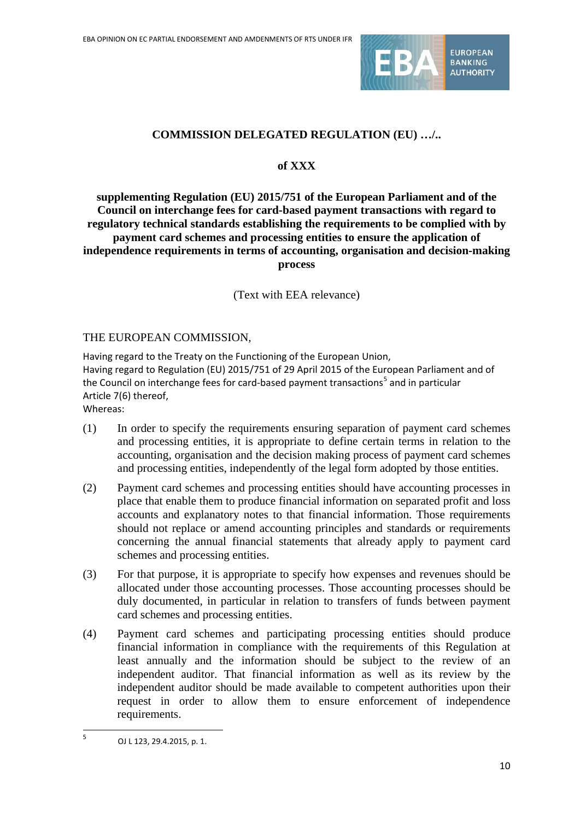

## **COMMISSION DELEGATED REGULATION (EU) …/..**

#### **of XXX**

## **supplementing Regulation (EU) 2015/751 of the European Parliament and of the Council on interchange fees for card-based payment transactions with regard to regulatory technical standards establishing the requirements to be complied with by payment card schemes and processing entities to ensure the application of independence requirements in terms of accounting, organisation and decision-making process**

(Text with EEA relevance)

#### THE EUROPEAN COMMISSION,

Having regard to the Treaty on the Functioning of the European Union, Having regard to Regulation (EU) 2015/751 of 29 April 2015 of the European Parliament and of the Council on interchange fees for card-based payment transactions<sup>[5](#page-9-0)</sup> and in particular Article 7(6) thereof, Whereas:

- (1) In order to specify the requirements ensuring separation of payment card schemes and processing entities, it is appropriate to define certain terms in relation to the accounting, organisation and the decision making process of payment card schemes and processing entities, independently of the legal form adopted by those entities.
- (2) Payment card schemes and processing entities should have accounting processes in place that enable them to produce financial information on separated profit and loss accounts and explanatory notes to that financial information. Those requirements should not replace or amend accounting principles and standards or requirements concerning the annual financial statements that already apply to payment card schemes and processing entities.
- (3) For that purpose, it is appropriate to specify how expenses and revenues should be allocated under those accounting processes. Those accounting processes should be duly documented, in particular in relation to transfers of funds between payment card schemes and processing entities.
- (4) Payment card schemes and participating processing entities should produce financial information in compliance with the requirements of this Regulation at least annually and the information should be subject to the review of an independent auditor. That financial information as well as its review by the independent auditor should be made available to competent authorities upon their request in order to allow them to ensure enforcement of independence requirements.

 $\overline{a}$ 

<span id="page-9-0"></span> $5$  OJ L 123, 29.4.2015, p. 1.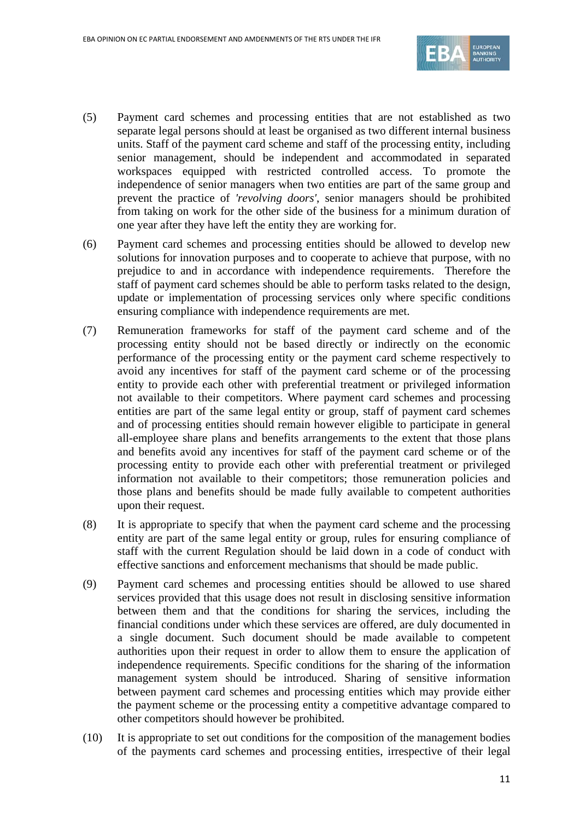

- (5) Payment card schemes and processing entities that are not established as two separate legal persons should at least be organised as two different internal business units. Staff of the payment card scheme and staff of the processing entity, including senior management, should be independent and accommodated in separated workspaces equipped with restricted controlled access. To promote the independence of senior managers when two entities are part of the same group and prevent the practice of *'revolving doors'*, senior managers should be prohibited from taking on work for the other side of the business for a minimum duration of one year after they have left the entity they are working for.
- (6) Payment card schemes and processing entities should be allowed to develop new solutions for innovation purposes and to cooperate to achieve that purpose, with no prejudice to and in accordance with independence requirements. Therefore the staff of payment card schemes should be able to perform tasks related to the design, update or implementation of processing services only where specific conditions ensuring compliance with independence requirements are met.
- (7) Remuneration frameworks for staff of the payment card scheme and of the processing entity should not be based directly or indirectly on the economic performance of the processing entity or the payment card scheme respectively to avoid any incentives for staff of the payment card scheme or of the processing entity to provide each other with preferential treatment or privileged information not available to their competitors. Where payment card schemes and processing entities are part of the same legal entity or group, staff of payment card schemes and of processing entities should remain however eligible to participate in general all-employee share plans and benefits arrangements to the extent that those plans and benefits avoid any incentives for staff of the payment card scheme or of the processing entity to provide each other with preferential treatment or privileged information not available to their competitors; those remuneration policies and those plans and benefits should be made fully available to competent authorities upon their request.
- (8) It is appropriate to specify that when the payment card scheme and the processing entity are part of the same legal entity or group, rules for ensuring compliance of staff with the current Regulation should be laid down in a code of conduct with effective sanctions and enforcement mechanisms that should be made public.
- (9) Payment card schemes and processing entities should be allowed to use shared services provided that this usage does not result in disclosing sensitive information between them and that the conditions for sharing the services, including the financial conditions under which these services are offered, are duly documented in a single document. Such document should be made available to competent authorities upon their request in order to allow them to ensure the application of independence requirements. Specific conditions for the sharing of the information management system should be introduced. Sharing of sensitive information between payment card schemes and processing entities which may provide either the payment scheme or the processing entity a competitive advantage compared to other competitors should however be prohibited.
- (10) It is appropriate to set out conditions for the composition of the management bodies of the payments card schemes and processing entities, irrespective of their legal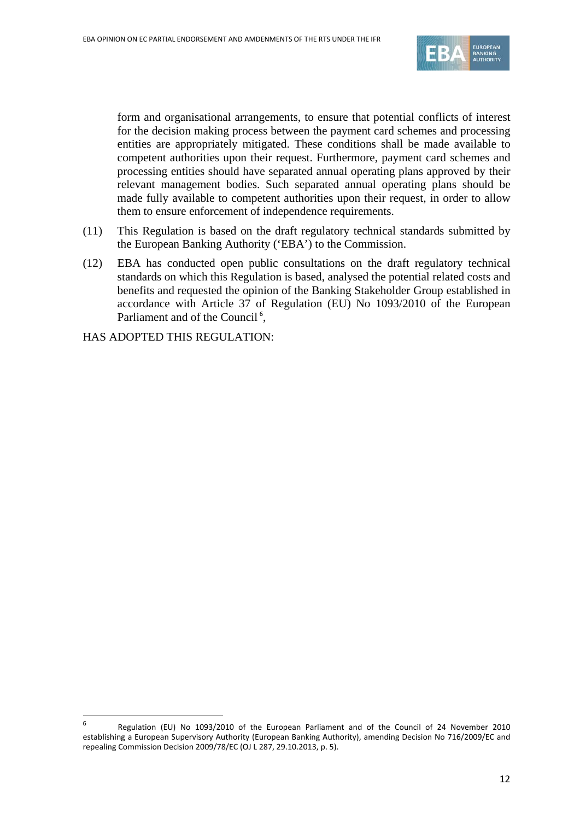

form and organisational arrangements, to ensure that potential conflicts of interest for the decision making process between the payment card schemes and processing entities are appropriately mitigated. These conditions shall be made available to competent authorities upon their request. Furthermore, payment card schemes and processing entities should have separated annual operating plans approved by their relevant management bodies. Such separated annual operating plans should be made fully available to competent authorities upon their request, in order to allow them to ensure enforcement of independence requirements.

- (11) This Regulation is based on the draft regulatory technical standards submitted by the European Banking Authority ('EBA') to the Commission.
- (12) EBA has conducted open public consultations on the draft regulatory technical standards on which this Regulation is based, analysed the potential related costs and benefits and requested the opinion of the Banking Stakeholder Group established in accordance with Article 37 of Regulation (EU) No 1093/2010 of the European Parliament and of the Council<sup>[6](#page-11-0)</sup>,

HAS ADOPTED THIS REGULATION:

j

<span id="page-11-0"></span><sup>6</sup> Regulation (EU) No 1093/2010 of the European Parliament and of the Council of 24 November 2010 establishing a European Supervisory Authority (European Banking Authority), amending Decision No 716/2009/EC and repealing Commission Decision 2009/78/EC (OJ L 287, 29.10.2013, p. 5).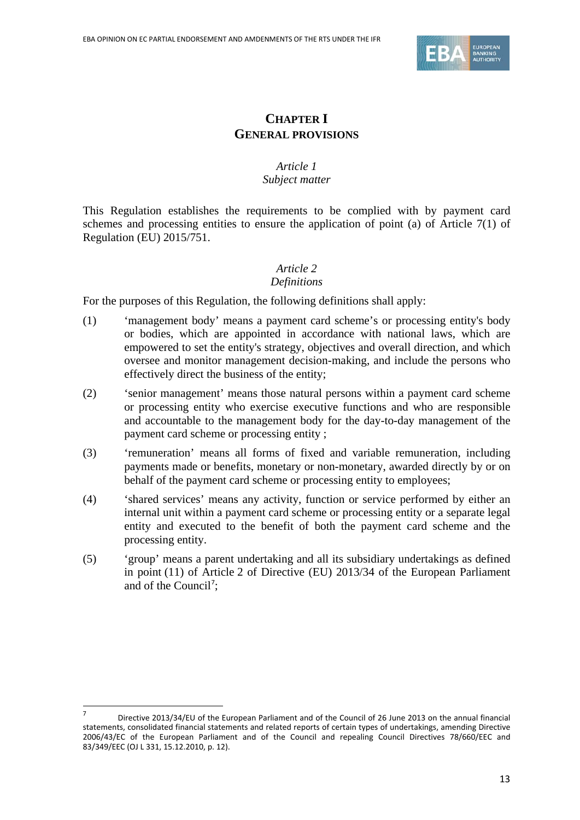

# **CHAPTER I GENERAL PROVISIONS**

## *Article 1 Subject matter*

This Regulation establishes the requirements to be complied with by payment card schemes and processing entities to ensure the application of point (a) of Article 7(1) of Regulation (EU) 2015/751.

#### *Article 2 Definitions*

For the purposes of this Regulation, the following definitions shall apply:

- (1) 'management body' means a payment card scheme's or processing entity's body or bodies, which are appointed in accordance with national laws, which are empowered to set the entity's strategy, objectives and overall direction, and which oversee and monitor management decision-making, and include the persons who effectively direct the business of the entity;
- (2) 'senior management' means those natural persons within a payment card scheme or processing entity who exercise executive functions and who are responsible and accountable to the management body for the day-to-day management of the payment card scheme or processing entity ;
- (3) 'remuneration' means all forms of fixed and variable remuneration, including payments made or benefits, monetary or non-monetary, awarded directly by or on behalf of the payment card scheme or processing entity to employees;
- (4) 'shared services' means any activity, function or service performed by either an internal unit within a payment card scheme or processing entity or a separate legal entity and executed to the benefit of both the payment card scheme and the processing entity.
- (5) 'group' means a parent undertaking and all its subsidiary undertakings as defined in point (11) of Article 2 of Directive (EU) 2013/34 of the European Parliament and of the Council';

 $\overline{a}$ 

<span id="page-12-0"></span><sup>7</sup> Directive 2013/34/EU of the European Parliament and of the Council of 26 June 2013 on the annual financial statements, consolidated financial statements and related reports of certain types of undertakings, amending Directive 2006/43/EC of the European Parliament and of the Council and repealing Council Directives 78/660/EEC and 83/349/EEC (OJ L 331, 15.12.2010, p. 12).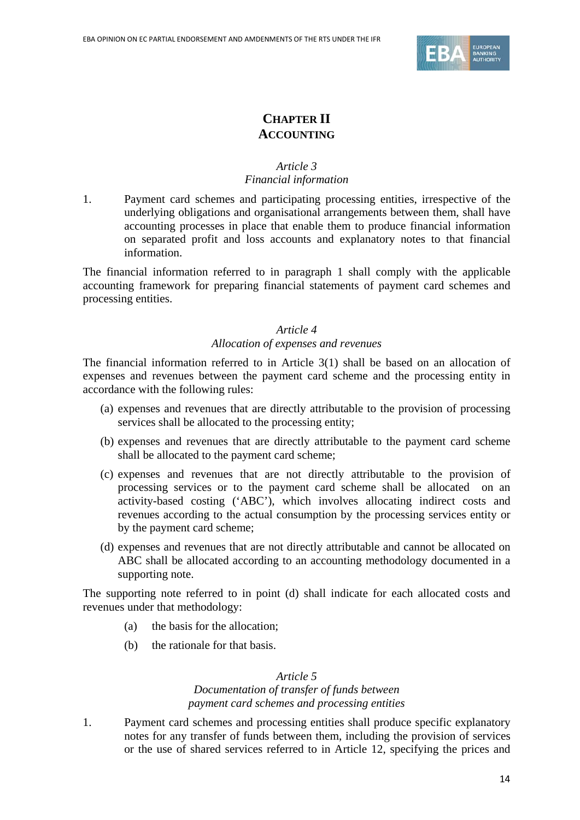

# **CHAPTER II ACCOUNTING**

### *Article 3 Financial information*

1. Payment card schemes and participating processing entities, irrespective of the underlying obligations and organisational arrangements between them, shall have accounting processes in place that enable them to produce financial information on separated profit and loss accounts and explanatory notes to that financial information.

The financial information referred to in paragraph 1 shall comply with the applicable accounting framework for preparing financial statements of payment card schemes and processing entities.

#### *Article 4*

## *Allocation of expenses and revenues*

The financial information referred to in Article 3(1) shall be based on an allocation of expenses and revenues between the payment card scheme and the processing entity in accordance with the following rules:

- (a) expenses and revenues that are directly attributable to the provision of processing services shall be allocated to the processing entity;
- (b) expenses and revenues that are directly attributable to the payment card scheme shall be allocated to the payment card scheme;
- (c) expenses and revenues that are not directly attributable to the provision of processing services or to the payment card scheme shall be allocated on an activity-based costing ('ABC'), which involves allocating indirect costs and revenues according to the actual consumption by the processing services entity or by the payment card scheme;
- (d) expenses and revenues that are not directly attributable and cannot be allocated on ABC shall be allocated according to an accounting methodology documented in a supporting note.

The supporting note referred to in point (d) shall indicate for each allocated costs and revenues under that methodology:

- (a) the basis for the allocation;
- (b) the rationale for that basis.

#### *Article 5*

#### *Documentation of transfer of funds between payment card schemes and processing entities*

1. Payment card schemes and processing entities shall produce specific explanatory notes for any transfer of funds between them, including the provision of services or the use of shared services referred to in Article 12, specifying the prices and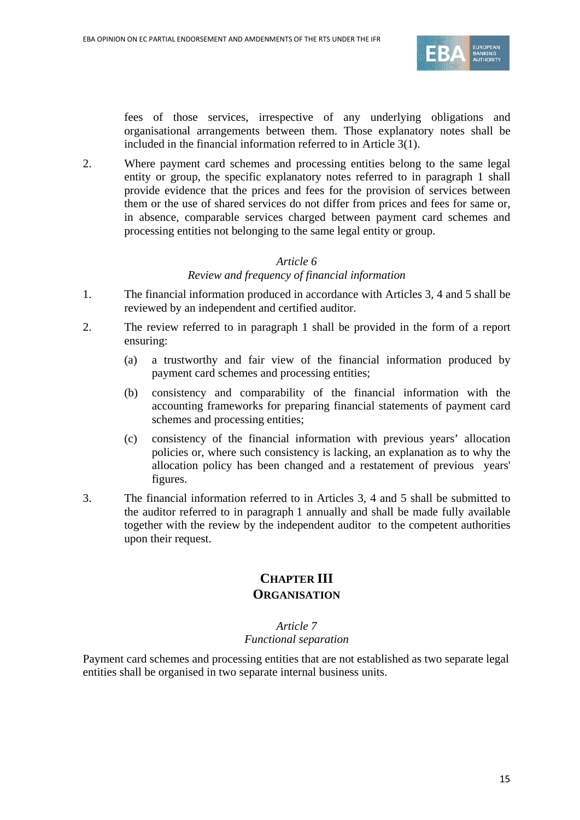

fees of those services, irrespective of any underlying obligations and organisational arrangements between them. Those explanatory notes shall be included in the financial information referred to in Article 3(1).

2. Where payment card schemes and processing entities belong to the same legal entity or group, the specific explanatory notes referred to in paragraph 1 shall provide evidence that the prices and fees for the provision of services between them or the use of shared services do not differ from prices and fees for same or, in absence, comparable services charged between payment card schemes and processing entities not belonging to the same legal entity or group.

#### *Article 6*

*Review and frequency of financial information*

- 1. The financial information produced in accordance with Articles 3, 4 and 5 shall be reviewed by an independent and certified auditor.
- 2. The review referred to in paragraph 1 shall be provided in the form of a report ensuring:
	- (a) a trustworthy and fair view of the financial information produced by payment card schemes and processing entities;
	- (b) consistency and comparability of the financial information with the accounting frameworks for preparing financial statements of payment card schemes and processing entities;
	- (c) consistency of the financial information with previous years' allocation policies or, where such consistency is lacking, an explanation as to why the allocation policy has been changed and a restatement of previous years' figures.
- 3. The financial information referred to in Articles 3, 4 and 5 shall be submitted to the auditor referred to in paragraph 1 annually and shall be made fully available together with the review by the independent auditor to the competent authorities upon their request.

## **CHAPTER III ORGANISATION**

#### *Article 7*

#### *Functional separation*

Payment card schemes and processing entities that are not established as two separate legal entities shall be organised in two separate internal business units.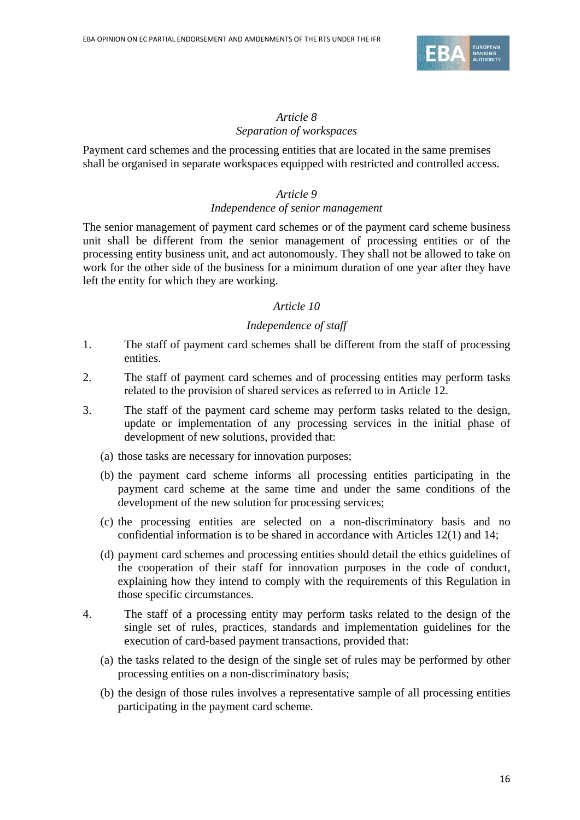

## *Article 8 Separation of workspaces*

Payment card schemes and the processing entities that are located in the same premises shall be organised in separate workspaces equipped with restricted and controlled access.

## *Article 9*

#### *Independence of senior management*

The senior management of payment card schemes or of the payment card scheme business unit shall be different from the senior management of processing entities or of the processing entity business unit, and act autonomously. They shall not be allowed to take on work for the other side of the business for a minimum duration of one year after they have left the entity for which they are working.

#### *Article 10*

## *Independence of staff*

- 1. The staff of payment card schemes shall be different from the staff of processing entities.
- 2. The staff of payment card schemes and of processing entities may perform tasks related to the provision of shared services as referred to in Article 12.
- 3. The staff of the payment card scheme may perform tasks related to the design, update or implementation of any processing services in the initial phase of development of new solutions, provided that:
	- (a) those tasks are necessary for innovation purposes;
	- (b) the payment card scheme informs all processing entities participating in the payment card scheme at the same time and under the same conditions of the development of the new solution for processing services;
	- (c) the processing entities are selected on a non-discriminatory basis and no confidential information is to be shared in accordance with Articles 12(1) and 14;
	- (d) payment card schemes and processing entities should detail the ethics guidelines of the cooperation of their staff for innovation purposes in the code of conduct, explaining how they intend to comply with the requirements of this Regulation in those specific circumstances.
- 4. The staff of a processing entity may perform tasks related to the design of the single set of rules, practices, standards and implementation guidelines for the execution of card-based payment transactions, provided that:
	- (a) the tasks related to the design of the single set of rules may be performed by other processing entities on a non-discriminatory basis;
	- (b) the design of those rules involves a representative sample of all processing entities participating in the payment card scheme.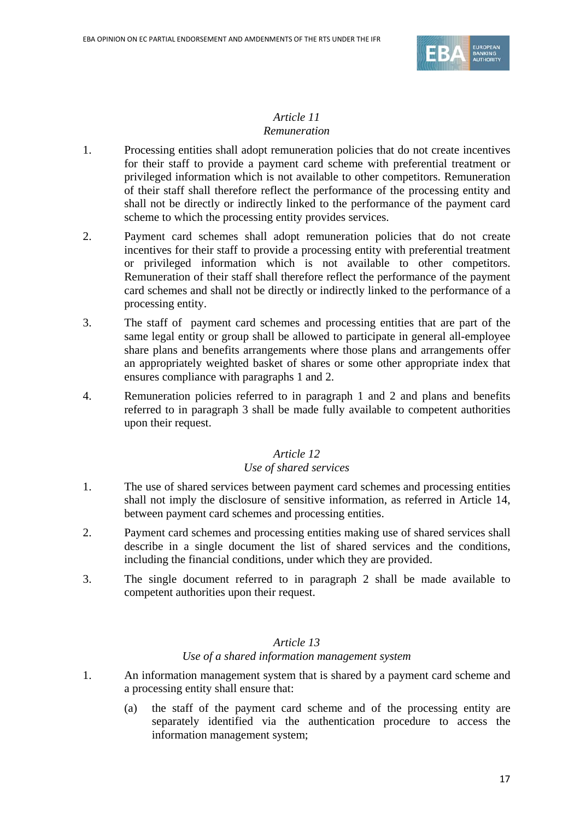

## *Article 11 Remuneration*

- 1. Processing entities shall adopt remuneration policies that do not create incentives for their staff to provide a payment card scheme with preferential treatment or privileged information which is not available to other competitors. Remuneration of their staff shall therefore reflect the performance of the processing entity and shall not be directly or indirectly linked to the performance of the payment card scheme to which the processing entity provides services.
- 2. Payment card schemes shall adopt remuneration policies that do not create incentives for their staff to provide a processing entity with preferential treatment or privileged information which is not available to other competitors. Remuneration of their staff shall therefore reflect the performance of the payment card schemes and shall not be directly or indirectly linked to the performance of a processing entity.
- 3. The staff of payment card schemes and processing entities that are part of the same legal entity or group shall be allowed to participate in general all-employee share plans and benefits arrangements where those plans and arrangements offer an appropriately weighted basket of shares or some other appropriate index that ensures compliance with paragraphs 1 and 2.
- 4. Remuneration policies referred to in paragraph 1 and 2 and plans and benefits referred to in paragraph 3 shall be made fully available to competent authorities upon their request.

## *Article 12 Use of shared services*

- 1. The use of shared services between payment card schemes and processing entities shall not imply the disclosure of sensitive information, as referred in Article 14, between payment card schemes and processing entities.
- 2. Payment card schemes and processing entities making use of shared services shall describe in a single document the list of shared services and the conditions, including the financial conditions, under which they are provided.
- 3. The single document referred to in paragraph 2 shall be made available to competent authorities upon their request.

## *Article 13*

#### *Use of a shared information management system*

- 1. An information management system that is shared by a payment card scheme and a processing entity shall ensure that:
	- (a) the staff of the payment card scheme and of the processing entity are separately identified via the authentication procedure to access the information management system;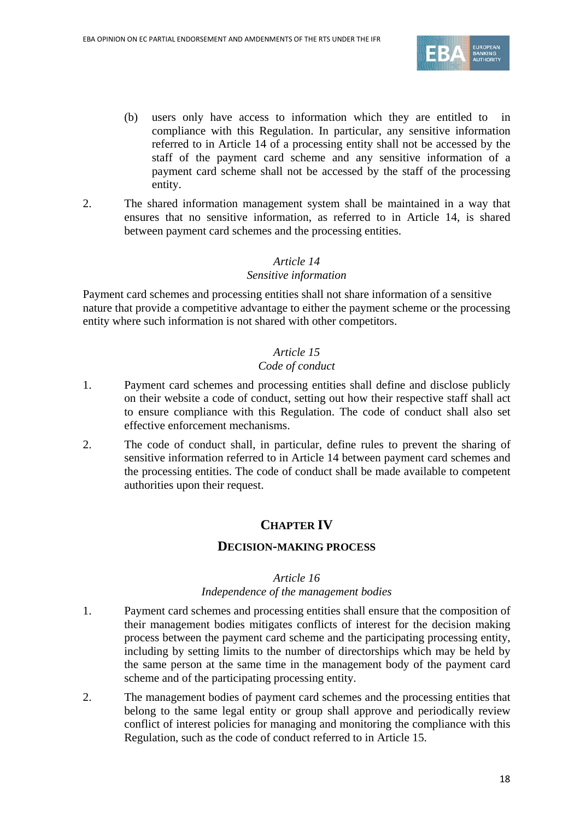

- (b) users only have access to information which they are entitled to compliance with this Regulation. In particular, any sensitive information referred to in Article 14 of a processing entity shall not be accessed by the staff of the payment card scheme and any sensitive information of a payment card scheme shall not be accessed by the staff of the processing entity.
- 2. The shared information management system shall be maintained in a way that ensures that no sensitive information, as referred to in Article 14, is shared between payment card schemes and the processing entities.

#### *Article 14*

#### *Sensitive information*

Payment card schemes and processing entities shall not share information of a sensitive nature that provide a competitive advantage to either the payment scheme or the processing entity where such information is not shared with other competitors.

## *Article 15*

#### *Code of conduct*

- 1. Payment card schemes and processing entities shall define and disclose publicly on their website a code of conduct, setting out how their respective staff shall act to ensure compliance with this Regulation. The code of conduct shall also set effective enforcement mechanisms.
- 2. The code of conduct shall, in particular, define rules to prevent the sharing of sensitive information referred to in Article 14 between payment card schemes and the processing entities. The code of conduct shall be made available to competent authorities upon their request.

## **CHAPTER IV**

#### **DECISION-MAKING PROCESS**

#### *Article 16*

#### *Independence of the management bodies*

- 1. Payment card schemes and processing entities shall ensure that the composition of their management bodies mitigates conflicts of interest for the decision making process between the payment card scheme and the participating processing entity, including by setting limits to the number of directorships which may be held by the same person at the same time in the management body of the payment card scheme and of the participating processing entity.
- 2. The management bodies of payment card schemes and the processing entities that belong to the same legal entity or group shall approve and periodically review conflict of interest policies for managing and monitoring the compliance with this Regulation, such as the code of conduct referred to in Article 15.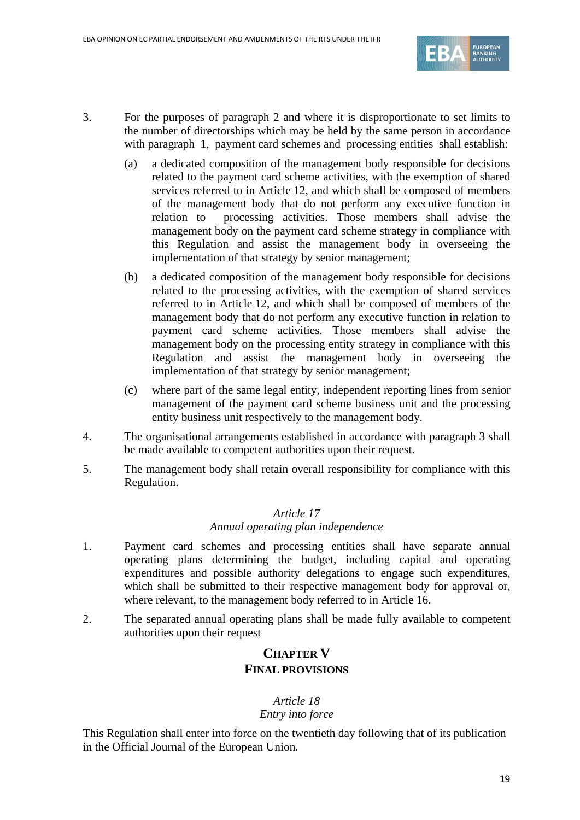

- 3. For the purposes of paragraph 2 and where it is disproportionate to set limits to the number of directorships which may be held by the same person in accordance with paragraph 1, payment card schemes and processing entities shall establish:
	- (a) a dedicated composition of the management body responsible for decisions related to the payment card scheme activities, with the exemption of shared services referred to in Article 12, and which shall be composed of members of the management body that do not perform any executive function in relation to processing activities. Those members shall advise the management body on the payment card scheme strategy in compliance with this Regulation and assist the management body in overseeing the implementation of that strategy by senior management;
	- (b) a dedicated composition of the management body responsible for decisions related to the processing activities, with the exemption of shared services referred to in Article 12, and which shall be composed of members of the management body that do not perform any executive function in relation to payment card scheme activities. Those members shall advise the management body on the processing entity strategy in compliance with this Regulation and assist the management body in overseeing the implementation of that strategy by senior management;
	- (c) where part of the same legal entity, independent reporting lines from senior management of the payment card scheme business unit and the processing entity business unit respectively to the management body.
- 4. The organisational arrangements established in accordance with paragraph 3 shall be made available to competent authorities upon their request.
- 5. The management body shall retain overall responsibility for compliance with this Regulation.

## *Article 17*

#### *Annual operating plan independence*

- 1. Payment card schemes and processing entities shall have separate annual operating plans determining the budget, including capital and operating expenditures and possible authority delegations to engage such expenditures, which shall be submitted to their respective management body for approval or, where relevant, to the management body referred to in Article 16.
- 2. The separated annual operating plans shall be made fully available to competent authorities upon their request

## **CHAPTER V FINAL PROVISIONS**

## *Article 18 Entry into force*

This Regulation shall enter into force on the twentieth day following that of its publication in the Official Journal of the European Union.